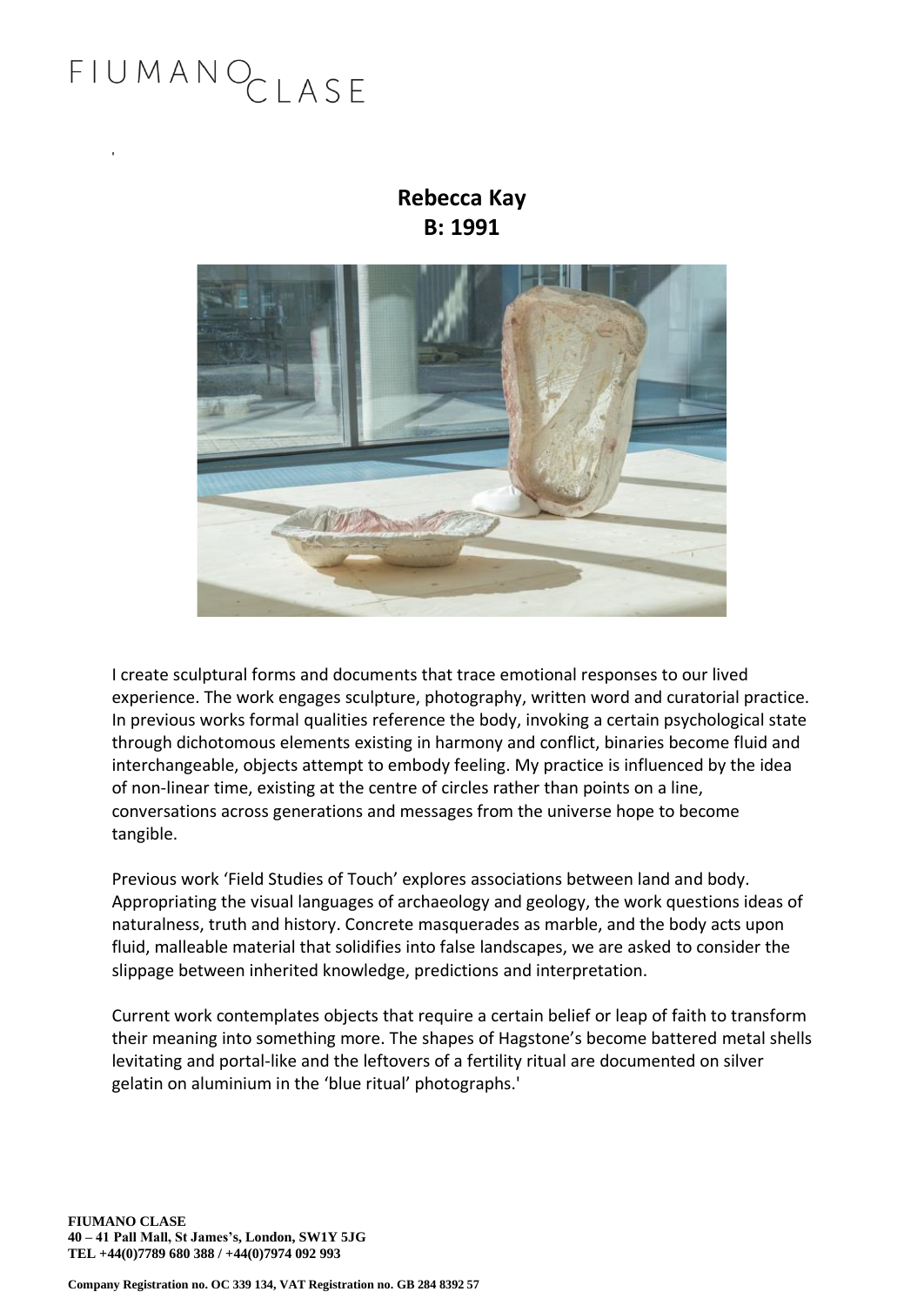### FIUMANOCLASE

'

### **Rebecca Kay B: 1991**



I create sculptural forms and documents that trace emotional responses to our lived experience. The work engages sculpture, photography, written word and curatorial practice. In previous works formal qualities reference the body, invoking a certain psychological state through dichotomous elements existing in harmony and conflict, binaries become fluid and interchangeable, objects attempt to embody feeling. My practice is influenced by the idea of non-linear time, existing at the centre of circles rather than points on a line, conversations across generations and messages from the universe hope to become tangible.

Previous work 'Field Studies of Touch' explores associations between land and body. Appropriating the visual languages of archaeology and geology, the work questions ideas of naturalness, truth and history. Concrete masquerades as marble, and the body acts upon fluid, malleable material that solidifies into false landscapes, we are asked to consider the slippage between inherited knowledge, predictions and interpretation.

Current work contemplates objects that require a certain belief or leap of faith to transform their meaning into something more. The shapes of Hagstone's become battered metal shells levitating and portal-like and the leftovers of a fertility ritual are documented on silver gelatin on aluminium in the 'blue ritual' photographs.'

**FIUMANO CLASE 40 – 41 Pall Mall, St James's, London, SW1Y 5JG TEL +44(0)7789 680 388 / +44(0)7974 092 993**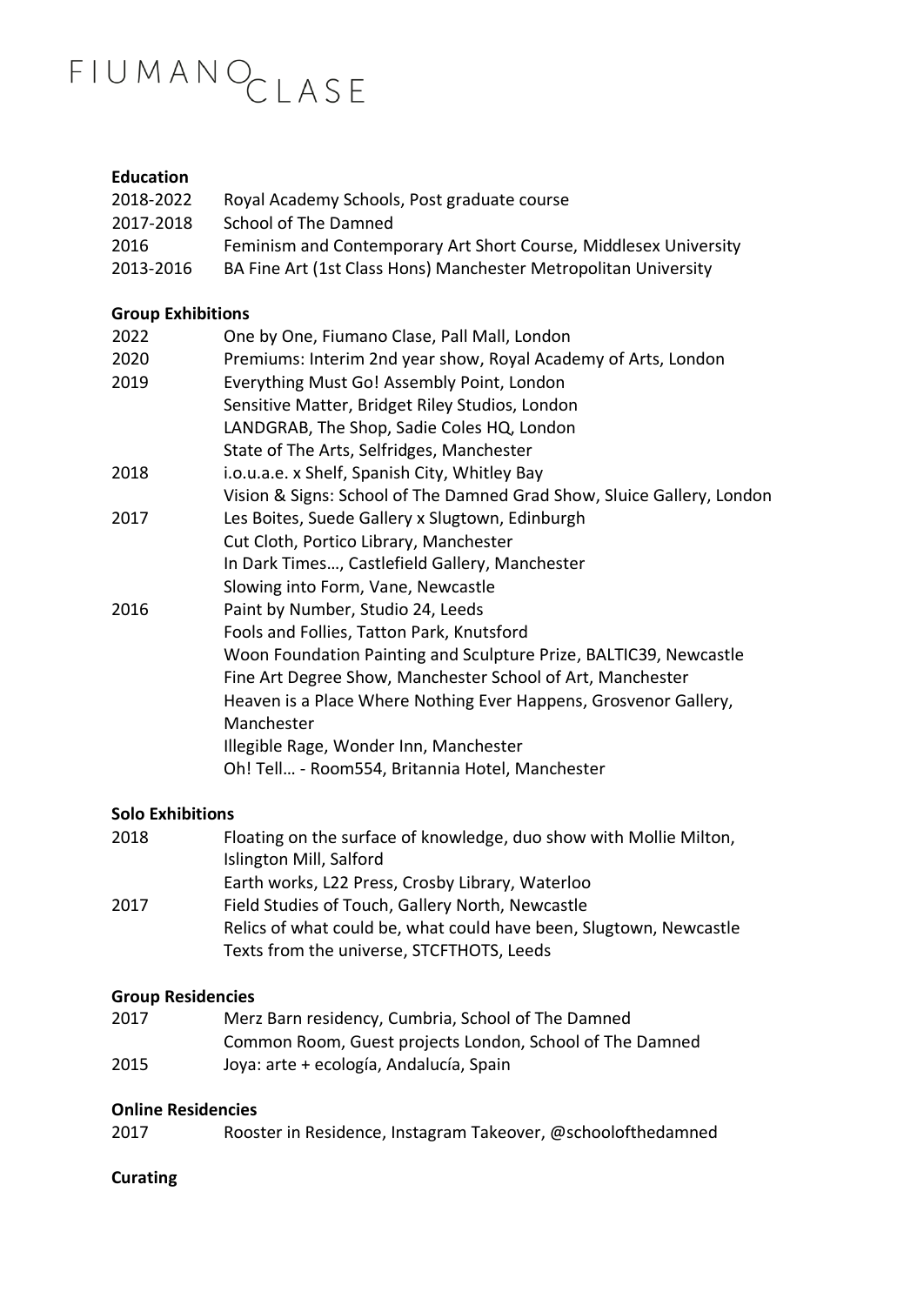# FIUMANOCLASE

#### **Education**

| 2018-2022 | Royal Academy Schools, Post graduate course                      |
|-----------|------------------------------------------------------------------|
| 2017-2018 | School of The Damned                                             |
| 2016      | Feminism and Contemporary Art Short Course, Middlesex University |
| 2013-2016 | BA Fine Art (1st Class Hons) Manchester Metropolitan University  |

#### **Group Exhibitions**

| 2022 | One by One, Fiumano Clase, Pall Mall, London                           |
|------|------------------------------------------------------------------------|
| 2020 | Premiums: Interim 2nd year show, Royal Academy of Arts, London         |
| 2019 | Everything Must Go! Assembly Point, London                             |
|      | Sensitive Matter, Bridget Riley Studios, London                        |
|      | LANDGRAB, The Shop, Sadie Coles HQ, London                             |
|      | State of The Arts, Selfridges, Manchester                              |
| 2018 | i.o.u.a.e. x Shelf, Spanish City, Whitley Bay                          |
|      | Vision & Signs: School of The Damned Grad Show, Sluice Gallery, London |
| 2017 | Les Boites, Suede Gallery x Slugtown, Edinburgh                        |
|      | Cut Cloth, Portico Library, Manchester                                 |
|      | In Dark Times, Castlefield Gallery, Manchester                         |
|      | Slowing into Form, Vane, Newcastle                                     |
| 2016 | Paint by Number, Studio 24, Leeds                                      |
|      | Fools and Follies, Tatton Park, Knutsford                              |
|      | Woon Foundation Painting and Sculpture Prize, BALTIC39, Newcastle      |
|      | Fine Art Degree Show, Manchester School of Art, Manchester             |
|      | Heaven is a Place Where Nothing Ever Happens, Grosvenor Gallery,       |
|      | Manchester                                                             |
|      | Illegible Rage, Wonder Inn, Manchester                                 |
|      | Oh! Tell - Room554, Britannia Hotel, Manchester                        |
|      |                                                                        |

#### **Solo Exhibitions**

| 2018 | Floating on the surface of knowledge, duo show with Mollie Milton, |
|------|--------------------------------------------------------------------|
|      | Islington Mill, Salford                                            |
|      | Earth works, L22 Press, Crosby Library, Waterloo                   |
| 2017 | Field Studies of Touch, Gallery North, Newcastle                   |
|      | Relics of what could be, what could have been, Slugtown, Newcastle |
|      | Texts from the universe, STCFTHOTS, Leeds                          |

#### **Group Residencies**

| 2017 | Merz Barn residency, Cumbria, School of The Damned       |
|------|----------------------------------------------------------|
|      | Common Room, Guest projects London, School of The Damned |
| 2015 | Joya: arte + ecología, Andalucía, Spain                  |

#### **Online Residencies**

| 2017 | Rooster in Residence, Instagram Takeover, @schoolofthedamned |  |
|------|--------------------------------------------------------------|--|
|------|--------------------------------------------------------------|--|

#### **Curating**